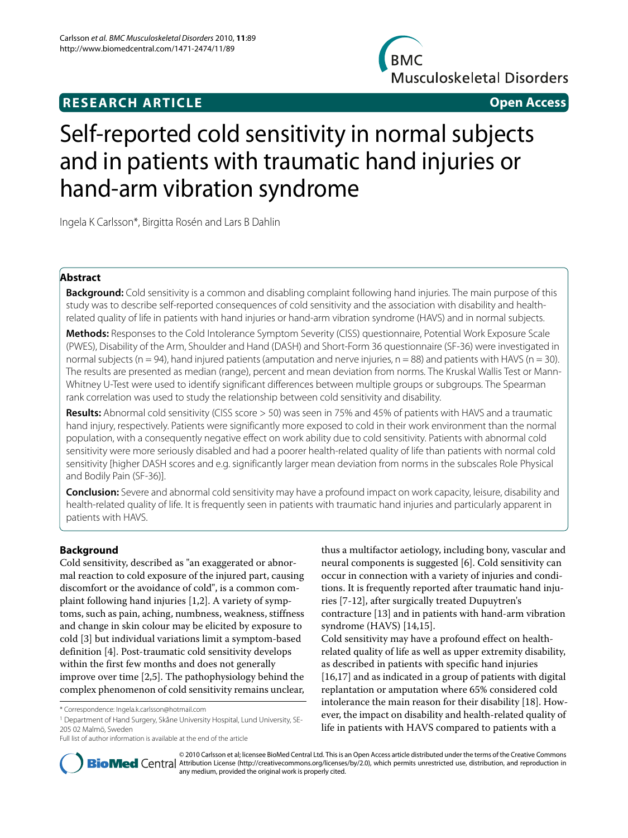# **RESEARCH ARTICLE Open Access**

**BMC Musculoskeletal Disorders** 

# Self-reported cold sensitivity in normal subjects and in patients with traumatic hand injuries or hand-arm vibration syndrome

Ingela K Carlsson\*, Birgitta Rosén and Lars B Dahlin

# **Abstract**

**Background:** Cold sensitivity is a common and disabling complaint following hand injuries. The main purpose of this study was to describe self-reported consequences of cold sensitivity and the association with disability and healthrelated quality of life in patients with hand injuries or hand-arm vibration syndrome (HAVS) and in normal subjects.

**Methods:** Responses to the Cold Intolerance Symptom Severity (CISS) questionnaire, Potential Work Exposure Scale (PWES), Disability of the Arm, Shoulder and Hand (DASH) and Short-Form 36 questionnaire (SF-36) were investigated in normal subjects (n = 94), hand injured patients (amputation and nerve injuries, n = 88) and patients with HAVS (n = 30). The results are presented as median (range), percent and mean deviation from norms. The Kruskal Wallis Test or Mann-Whitney U-Test were used to identify significant differences between multiple groups or subgroups. The Spearman rank correlation was used to study the relationship between cold sensitivity and disability.

**Results:** Abnormal cold sensitivity (CISS score > 50) was seen in 75% and 45% of patients with HAVS and a traumatic hand injury, respectively. Patients were significantly more exposed to cold in their work environment than the normal population, with a consequently negative effect on work ability due to cold sensitivity. Patients with abnormal cold sensitivity were more seriously disabled and had a poorer health-related quality of life than patients with normal cold sensitivity [higher DASH scores and e.g. significantly larger mean deviation from norms in the subscales Role Physical and Bodily Pain (SF-36)].

**Conclusion:** Severe and abnormal cold sensitivity may have a profound impact on work capacity, leisure, disability and health-related quality of life. It is frequently seen in patients with traumatic hand injuries and particularly apparent in patients with HAVS.

# **Background**

Cold sensitivity, described as "an exaggerated or abnormal reaction to cold exposure of the injured part, causing discomfort or the avoidance of cold", is a common complaint following hand injuries [[1,](#page-8-0)[2\]](#page-8-1). A variety of symptoms, such as pain, aching, numbness, weakness, stiffness and change in skin colour may be elicited by exposure to cold [[3](#page-8-2)] but individual variations limit a symptom-based definition [\[4\]](#page-8-3). Post-traumatic cold sensitivity develops within the first few months and does not generally improve over time [[2](#page-8-1)[,5](#page-8-4)]. The pathophysiology behind the complex phenomenon of cold sensitivity remains unclear,

1 Department of Hand Surgery, Skåne University Hospital, Lund University, SE-205 02 Malmö, Sweden

Full list of author information is available at the end of the article

thus a multifactor aetiology, including bony, vascular and neural components is suggested [\[6\]](#page-8-5). Cold sensitivity can occur in connection with a variety of injuries and conditions. It is frequently reported after traumatic hand injuries [[7](#page-8-6)[-12](#page-8-7)], after surgically treated Dupuytren's contracture [[13\]](#page-8-8) and in patients with hand-arm vibration syndrome (HAVS) [\[14](#page-8-9)[,15](#page-8-10)]. Cold sensitivity may have a profound effect on health-

related quality of life as well as upper extremity disability, as described in patients with specific hand injuries [[16,](#page-8-11)[17\]](#page-8-12) and as indicated in a group of patients with digital replantation or amputation where 65% considered cold intolerance the main reason for their disability [[18\]](#page-8-13). However, the impact on disability and health-related quality of life in patients with HAVS compared to patients with a



© 2010 Carlsson et al; licensee BioMed Central Ltd. This is an Open Access article distributed under the terms of the Creative Commons **Bio Med Centra** Attribution License (http://creativecommons.org/licenses/by/2.0), which permits unrestricted use, distribution, and reproduction in any medium, provided the original work is properly cited.

<sup>\*</sup> Correspondence: Ingela.k.carlsson@hotmail.com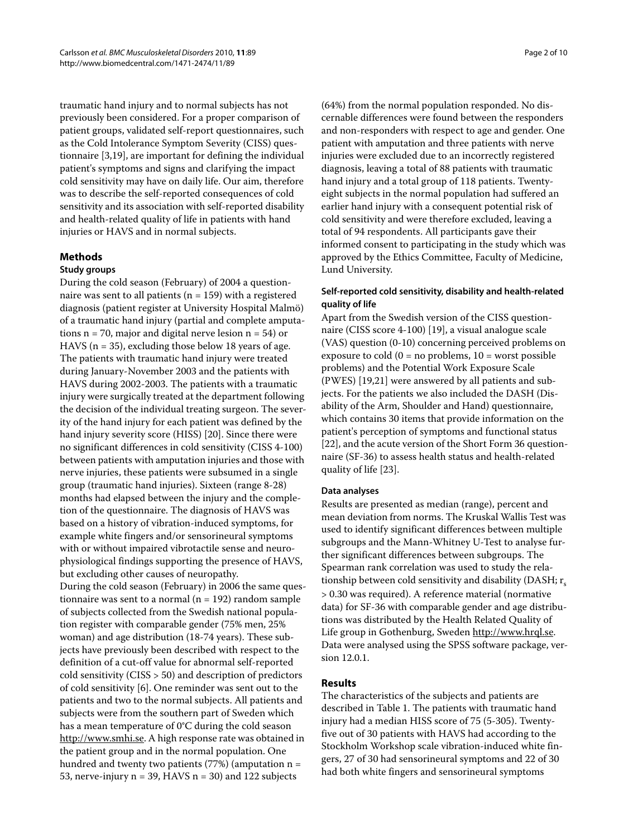traumatic hand injury and to normal subjects has not previously been considered. For a proper comparison of patient groups, validated self-report questionnaires, such as the Cold Intolerance Symptom Severity (CISS) questionnaire [\[3](#page-8-2)[,19](#page-8-14)], are important for defining the individual patient's symptoms and signs and clarifying the impact cold sensitivity may have on daily life. Our aim, therefore was to describe the self-reported consequences of cold sensitivity and its association with self-reported disability and health-related quality of life in patients with hand injuries or HAVS and in normal subjects.

## **Methods**

#### **Study groups**

During the cold season (February) of 2004 a questionnaire was sent to all patients ( $n = 159$ ) with a registered diagnosis (patient register at University Hospital Malmö) of a traumatic hand injury (partial and complete amputations  $n = 70$ , major and digital nerve lesion  $n = 54$ ) or HAVS ( $n = 35$ ), excluding those below 18 years of age. The patients with traumatic hand injury were treated during January-November 2003 and the patients with HAVS during 2002-2003. The patients with a traumatic injury were surgically treated at the department following the decision of the individual treating surgeon. The severity of the hand injury for each patient was defined by the hand injury severity score (HISS) [[20\]](#page-8-15). Since there were no significant differences in cold sensitivity (CISS 4-100) between patients with amputation injuries and those with nerve injuries, these patients were subsumed in a single group (traumatic hand injuries). Sixteen (range 8-28) months had elapsed between the injury and the completion of the questionnaire. The diagnosis of HAVS was based on a history of vibration-induced symptoms, for example white fingers and/or sensorineural symptoms with or without impaired vibrotactile sense and neurophysiological findings supporting the presence of HAVS, but excluding other causes of neuropathy. During the cold season (February) in 2006 the same questionnaire was sent to a normal ( $n = 192$ ) random sample of subjects collected from the Swedish national population register with comparable gender (75% men, 25% woman) and age distribution (18-74 years). These subjects have previously been described with respect to the definition of a cut-off value for abnormal self-reported cold sensitivity (CISS > 50) and description of predictors of cold sensitivity [\[6](#page-8-5)]. One reminder was sent out to the patients and two to the normal subjects. All patients and subjects were from the southern part of Sweden which has a mean temperature of 0°C during the cold season [http://www.smhi.se.](http://www.smhi.se) A high response rate was obtained in the patient group and in the normal population. One hundred and twenty two patients (77%) (amputation  $n =$ 53, nerve-injury  $n = 39$ , HAVS  $n = 30$ ) and 122 subjects

(64%) from the normal population responded. No discernable differences were found between the responders and non-responders with respect to age and gender. One patient with amputation and three patients with nerve injuries were excluded due to an incorrectly registered diagnosis, leaving a total of 88 patients with traumatic hand injury and a total group of 118 patients. Twentyeight subjects in the normal population had suffered an earlier hand injury with a consequent potential risk of cold sensitivity and were therefore excluded, leaving a total of 94 respondents. All participants gave their informed consent to participating in the study which was approved by the Ethics Committee, Faculty of Medicine, Lund University.

## **Self-reported cold sensitivity, disability and health-related quality of life**

Apart from the Swedish version of the CISS questionnaire (CISS score 4-100) [\[19](#page-8-14)], a visual analogue scale (VAS) question (0-10) concerning perceived problems on exposure to cold ( $0 = no$  problems,  $10 =$  worst possible problems) and the Potential Work Exposure Scale (PWES) [\[19,](#page-8-14)[21\]](#page-8-16) were answered by all patients and subjects. For the patients we also included the DASH (Disability of the Arm, Shoulder and Hand) questionnaire, which contains 30 items that provide information on the patient's perception of symptoms and functional status [[22\]](#page-8-17), and the acute version of the Short Form 36 questionnaire (SF-36) to assess health status and health-related quality of life [\[23](#page-8-18)].

#### **Data analyses**

Results are presented as median (range), percent and mean deviation from norms. The Kruskal Wallis Test was used to identify significant differences between multiple subgroups and the Mann-Whitney U-Test to analyse further significant differences between subgroups. The Spearman rank correlation was used to study the relationship between cold sensitivity and disability (DASH;  $r_s$ > 0.30 was required). A reference material (normative data) for SF-36 with comparable gender and age distributions was distributed by the Health Related Quality of Life group in Gothenburg, Sweden [http://www.hrql.se.](http://www.hrql.se) Data were analysed using the SPSS software package, version 12.0.1.

## **Results**

The characteristics of the subjects and patients are described in Table 1. The patients with traumatic hand injury had a median HISS score of 75 (5-305). Twentyfive out of 30 patients with HAVS had according to the Stockholm Workshop scale vibration-induced white fingers, 27 of 30 had sensorineural symptoms and 22 of 30 had both white fingers and sensorineural symptoms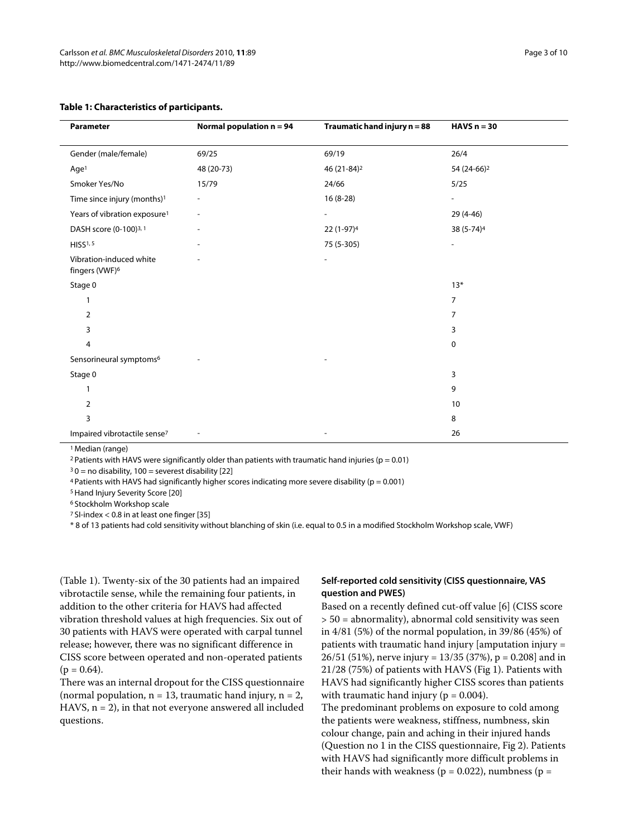| Parameter                                             | Normal population $n = 94$ | Traumatic hand injury n = 88 | HAVS $n = 30$            |
|-------------------------------------------------------|----------------------------|------------------------------|--------------------------|
| Gender (male/female)                                  | 69/25                      | 69/19                        | 26/4                     |
| Age <sup>1</sup>                                      | 48 (20-73)                 | 46 (21-84) <sup>2</sup>      | 54 (24-66) <sup>2</sup>  |
| Smoker Yes/No                                         | 15/79                      | 24/66                        | 5/25                     |
| Time since injury (months) <sup>1</sup>               |                            | $16(8-28)$                   |                          |
| Years of vibration exposure <sup>1</sup>              | $\overline{\phantom{0}}$   | $\overline{\phantom{a}}$     | 29 (4-46)                |
| DASH score (0-100) <sup>3, 1</sup>                    |                            | 22 (1-97) <sup>4</sup>       | 38 (5-74) <sup>4</sup>   |
| HISS <sup>1,5</sup>                                   |                            | 75 (5-305)                   | $\overline{\phantom{a}}$ |
| Vibration-induced white<br>fingers (VWF) <sup>6</sup> |                            |                              |                          |
| Stage 0                                               |                            |                              | $13*$                    |
| 1                                                     |                            |                              | $\overline{7}$           |
| $\overline{2}$                                        |                            |                              | 7                        |
| 3                                                     |                            |                              | 3                        |
| 4                                                     |                            |                              | 0                        |
| Sensorineural symptoms <sup>6</sup>                   |                            |                              |                          |
| Stage 0                                               |                            |                              | 3                        |
| 1                                                     |                            |                              | 9                        |
| $\overline{2}$                                        |                            |                              | 10                       |
| 3                                                     |                            |                              | 8                        |
| Impaired vibrotactile sense <sup>7</sup>              |                            |                              | 26                       |

#### **Table 1: Characteristics of participants.**

1 Median (range)

<sup>2</sup> Patients with HAVS were significantly older than patients with traumatic hand injuries ( $p = 0.01$ )

 $30$  = no disability, 100 = severest disability [\[22\]](#page-8-17)

 $4$  Patients with HAVS had significantly higher scores indicating more severe disability ( $p = 0.001$ )

5 Hand Injury Severity Score [\[20](#page-8-15)]

6 Stockholm Workshop scale

7 SI-index < 0.8 in at least one finger [\[35](#page-8-19)]

\* 8 of 13 patients had cold sensitivity without blanching of skin (i.e. equal to 0.5 in a modified Stockholm Workshop scale, VWF)

(Table 1). Twenty-six of the 30 patients had an impaired vibrotactile sense, while the remaining four patients, in addition to the other criteria for HAVS had affected vibration threshold values at high frequencies. Six out of 30 patients with HAVS were operated with carpal tunnel release; however, there was no significant difference in CISS score between operated and non-operated patients  $(p = 0.64)$ .

There was an internal dropout for the CISS questionnaire (normal population,  $n = 13$ , traumatic hand injury,  $n = 2$ , HAVS,  $n = 2$ ), in that not everyone answered all included questions.

## **Self-reported cold sensitivity (CISS questionnaire, VAS question and PWES)**

Based on a recently defined cut-off value [[6\]](#page-8-5) (CISS score > 50 = abnormality), abnormal cold sensitivity was seen in 4/81 (5%) of the normal population, in 39/86 (45%) of patients with traumatic hand injury [amputation injury = 26/51 (51%), nerve injury = 13/35 (37%), p = 0.208] and in 21/28 (75%) of patients with HAVS (Fig [1](#page-3-0)). Patients with HAVS had significantly higher CISS scores than patients with traumatic hand injury ( $p = 0.004$ ). The predominant problems on exposure to cold among the patients were weakness, stiffness, numbness, skin colour change, pain and aching in their injured hands (Question no 1 in the CISS questionnaire, Fig [2\)](#page-5-0). Patients

with HAVS had significantly more difficult problems in their hands with weakness ( $p = 0.022$ ), numbness ( $p =$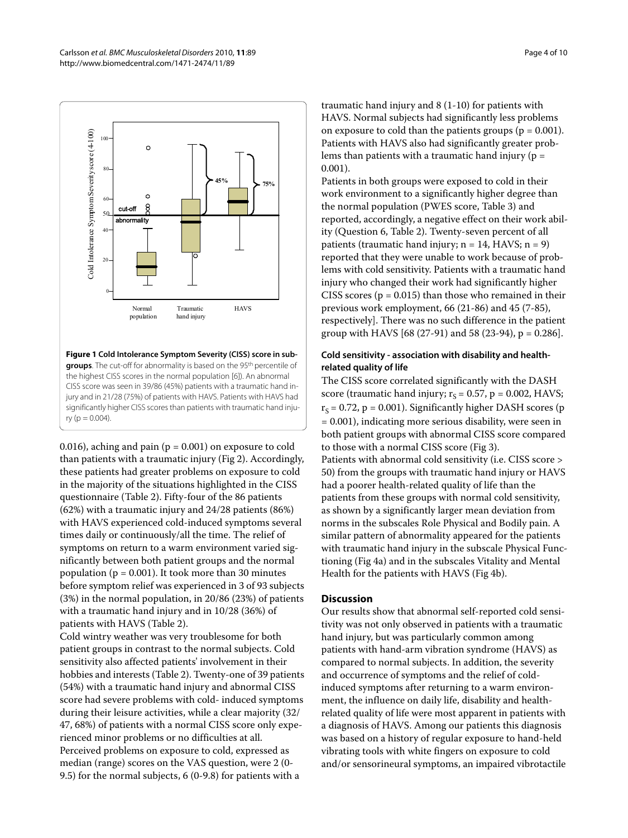<span id="page-3-0"></span>

**Figure 1 Cold Intolerance Symptom Severity (CISS) score in subgroups**. The cut-off for abnormality is based on the 95<sup>th</sup> percentile of the highest CISS scores in the normal population [[6\]](#page-8-5)). An abnormal CISS score was seen in 39/86 (45%) patients with a traumatic hand injury and in 21/28 (75%) of patients with HAVS. Patients with HAVS had significantly higher CISS scores than patients with traumatic hand inju $ry (p = 0.004)$ .

0.016), aching and pain ( $p = 0.001$ ) on exposure to cold than patients with a traumatic injury (Fig [2\)](#page-5-0). Accordingly, these patients had greater problems on exposure to cold in the majority of the situations highlighted in the CISS questionnaire (Table 2). Fifty-four of the 86 patients (62%) with a traumatic injury and 24/28 patients (86%) with HAVS experienced cold-induced symptoms several times daily or continuously/all the time. The relief of symptoms on return to a warm environment varied significantly between both patient groups and the normal population ( $p = 0.001$ ). It took more than 30 minutes before symptom relief was experienced in 3 of 93 subjects (3%) in the normal population, in 20/86 (23%) of patients with a traumatic hand injury and in 10/28 (36%) of patients with HAVS (Table 2).

Cold wintry weather was very troublesome for both patient groups in contrast to the normal subjects. Cold sensitivity also affected patients' involvement in their hobbies and interests (Table [2](#page-4-0)). Twenty-one of 39 patients (54%) with a traumatic hand injury and abnormal CISS score had severe problems with cold- induced symptoms during their leisure activities, while a clear majority (32/ 47, 68%) of patients with a normal CISS score only experienced minor problems or no difficulties at all. Perceived problems on exposure to cold, expressed as median (range) scores on the VAS question, were 2 (0- 9.5) for the normal subjects, 6 (0-9.8) for patients with a

traumatic hand injury and 8 (1-10) for patients with HAVS. Normal subjects had significantly less problems on exposure to cold than the patients groups ( $p = 0.001$ ). Patients with HAVS also had significantly greater problems than patients with a traumatic hand injury ( $p =$ 0.001).

Patients in both groups were exposed to cold in their work environment to a significantly higher degree than the normal population (PWES score, Table [3](#page-6-0)) and reported, accordingly, a negative effect on their work ability (Question 6, Table 2). Twenty-seven percent of all patients (traumatic hand injury;  $n = 14$ , HAVS;  $n = 9$ ) reported that they were unable to work because of problems with cold sensitivity. Patients with a traumatic hand injury who changed their work had significantly higher CISS scores ( $p = 0.015$ ) than those who remained in their previous work employment, 66 (21-86) and 45 (7-85), respectively]. There was no such difference in the patient group with HAVS [68 (27-91) and 58 (23-94), p = 0.286].

# **Cold sensitivity - association with disability and healthrelated quality of life**

The CISS score correlated significantly with the DASH score (traumatic hand injury;  $r_s = 0.57$ , p = 0.002, HAVS;  $r<sub>S</sub> = 0.72$ , p = 0.001). Significantly higher DASH scores (p = 0.001), indicating more serious disability, were seen in both patient groups with abnormal CISS score compared to those with a normal CISS score (Fig [3](#page-7-0)). Patients with abnormal cold sensitivity (i.e. CISS score > 50) from the groups with traumatic hand injury or HAVS had a poorer health-related quality of life than the patients from these groups with normal cold sensitivity, as shown by a significantly larger mean deviation from norms in the subscales Role Physical and Bodily pain. A similar pattern of abnormality appeared for the patients with traumatic hand injury in the subscale Physical Functioning (Fig [4a](#page-7-1)) and in the subscales Vitality and Mental Health for the patients with HAVS (Fig [4](#page-7-1)b).

# **Discussion**

Our results show that abnormal self-reported cold sensitivity was not only observed in patients with a traumatic hand injury, but was particularly common among patients with hand-arm vibration syndrome (HAVS) as compared to normal subjects. In addition, the severity and occurrence of symptoms and the relief of coldinduced symptoms after returning to a warm environment, the influence on daily life, disability and healthrelated quality of life were most apparent in patients with a diagnosis of HAVS. Among our patients this diagnosis was based on a history of regular exposure to hand-held vibrating tools with white fingers on exposure to cold and/or sensorineural symptoms, an impaired vibrotactile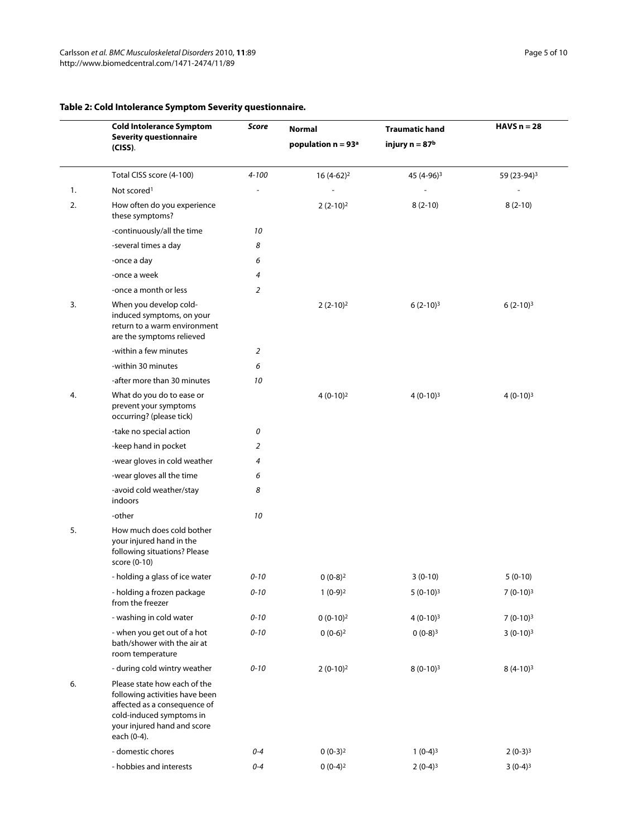|    | <b>Cold Intolerance Symptom</b>                                                                                                                                          | <b>Score</b><br><b>Normal</b> |                      | <b>Traumatic hand</b>  | HAVS $n = 28$           |
|----|--------------------------------------------------------------------------------------------------------------------------------------------------------------------------|-------------------------------|----------------------|------------------------|-------------------------|
|    | <b>Severity questionnaire</b><br>$(CISS)$ .                                                                                                                              |                               | population $n = 93a$ | injury $n = 87b$       |                         |
|    | Total CISS score (4-100)                                                                                                                                                 | $4 - 100$                     | $16(4-62)^2$         | 45 (4-96) <sup>3</sup> | 59 (23-94) <sup>3</sup> |
| 1. | Not scored <sup>1</sup>                                                                                                                                                  |                               |                      |                        |                         |
| 2. | How often do you experience<br>these symptoms?                                                                                                                           |                               | $2(2-10)2$           | $8(2-10)$              | $8(2-10)$               |
|    | -continuously/all the time                                                                                                                                               | 10                            |                      |                        |                         |
|    | -several times a day                                                                                                                                                     | 8                             |                      |                        |                         |
|    | -once a day                                                                                                                                                              | 6                             |                      |                        |                         |
|    | -once a week                                                                                                                                                             | 4                             |                      |                        |                         |
|    | -once a month or less                                                                                                                                                    | 2                             |                      |                        |                         |
| 3. | When you develop cold-<br>induced symptoms, on your<br>return to a warm environment<br>are the symptoms relieved                                                         |                               | $2(2-10)2$           | $6(2-10)3$             | $6(2-10)3$              |
|    | -within a few minutes                                                                                                                                                    | 2                             |                      |                        |                         |
|    | -within 30 minutes                                                                                                                                                       | 6                             |                      |                        |                         |
|    | -after more than 30 minutes                                                                                                                                              | 10                            |                      |                        |                         |
| 4. | What do you do to ease or<br>prevent your symptoms<br>occurring? (please tick)                                                                                           |                               | $4(0-10)2$           | $4(0-10)3$             | $4(0-10)3$              |
|    | -take no special action                                                                                                                                                  | 0                             |                      |                        |                         |
|    | -keep hand in pocket                                                                                                                                                     | 2                             |                      |                        |                         |
|    | -wear gloves in cold weather                                                                                                                                             | 4                             |                      |                        |                         |
|    | -wear gloves all the time                                                                                                                                                | 6                             |                      |                        |                         |
|    | -avoid cold weather/stay<br>indoors                                                                                                                                      | 8                             |                      |                        |                         |
|    | -other                                                                                                                                                                   | 10                            |                      |                        |                         |
| 5. | How much does cold bother<br>your injured hand in the<br>following situations? Please<br>score (0-10)                                                                    |                               |                      |                        |                         |
|    | - holding a glass of ice water                                                                                                                                           | $0 - 10$                      | $0(0-8)^2$           | $3(0-10)$              | $5(0-10)$               |
|    | - holding a frozen package<br>from the freezer                                                                                                                           | $0 - 10$                      | $1(0-9)2$            | $5(0-10)3$             | $7(0-10)3$              |
|    | - washing in cold water                                                                                                                                                  | $0 - 10$                      | $0(0-10)2$           | $4(0-10)3$             | $7(0-10)3$              |
|    | - when you get out of a hot<br>bath/shower with the air at<br>room temperature                                                                                           | $0 - 10$                      | $0(0-6)^2$           | $0(0-8)^3$             | $3(0-10)^3$             |
|    | - during cold wintry weather                                                                                                                                             | $0 - 10$                      | $2(0-10)2$           | $8(0-10)3$             | $8(4-10)3$              |
| 6. | Please state how each of the<br>following activities have been<br>affected as a consequence of<br>cold-induced symptoms in<br>your injured hand and score<br>each (0-4). |                               |                      |                        |                         |
|    | - domestic chores                                                                                                                                                        | $0 - 4$                       | $0(0-3)2$            | $1(0-4)^3$             | $2(0-3)^3$              |
|    | - hobbies and interests                                                                                                                                                  | $0 - 4$                       | $0(0-4)^2$           | $2(0-4)^3$             | $3(0-4)^3$              |

# <span id="page-4-0"></span>**Table 2: Cold Intolerance Symptom Severity questionnaire.**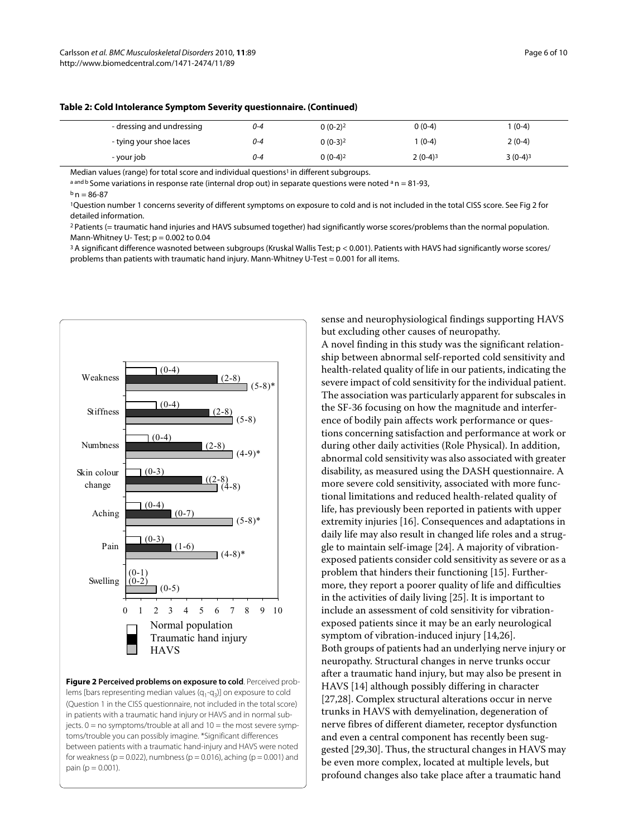| - dressing and undressing | 0-4     | $0(0-2)^2$ | $0(0-4)$  | $(0-4)$    |
|---------------------------|---------|------------|-----------|------------|
| - tying your shoe laces   | 0-4     | $0(0-3)^2$ | $(0-4)$   | $2(0-4)$   |
| - your job                | $0 - 4$ | $0(0-4)^2$ | $2(0-4)3$ | $3(0-4)^3$ |

**Table 2: Cold Intolerance Symptom Severity questionnaire. (Continued)**

Median values (range) for total score and individual questions<sup>1</sup> in different subgroups.

a and b Some variations in response rate (internal drop out) in separate questions were noted  $a$  n = 81-93,

 $b$  n = 86-87

1Question number 1 concerns severity of different symptoms on exposure to cold and is not included in the total CISS score. See Fig 2 for detailed information.

2 Patients (= traumatic hand injuries and HAVS subsumed together) had significantly worse scores/problems than the normal population. Mann-Whitney U-Test;  $p = 0.002$  to 0.04

<sup>3</sup> A significant difference wasnoted between subgroups (Kruskal Wallis Test; p < 0.001). Patients with HAVS had significantly worse scores/ problems than patients with traumatic hand injury. Mann-Whitney U-Test = 0.001 for all items.

<span id="page-5-0"></span>

**Figure 2 Perceived problems on exposure to cold**. Perceived problems [bars representing median values  $(q_1-q_3)$ ] on exposure to cold (Question 1 in the CISS questionnaire, not included in the total score) in patients with a traumatic hand injury or HAVS and in normal subjects.  $0 = no$  symptoms/trouble at all and  $10 =$  the most severe symptoms/trouble you can possibly imagine. \*Significant differences between patients with a traumatic hand-injury and HAVS were noted for weakness ( $p = 0.022$ ), numbness ( $p = 0.016$ ), aching ( $p = 0.001$ ) and pain ( $p = 0.001$ ).

sense and neurophysiological findings supporting HAVS but excluding other causes of neuropathy.

A novel finding in this study was the significant relationship between abnormal self-reported cold sensitivity and health-related quality of life in our patients, indicating the severe impact of cold sensitivity for the individual patient. The association was particularly apparent for subscales in the SF-36 focusing on how the magnitude and interference of bodily pain affects work performance or questions concerning satisfaction and performance at work or during other daily activities (Role Physical). In addition, abnormal cold sensitivity was also associated with greater disability, as measured using the DASH questionnaire. A more severe cold sensitivity, associated with more functional limitations and reduced health-related quality of life, has previously been reported in patients with upper extremity injuries [\[16\]](#page-8-11). Consequences and adaptations in daily life may also result in changed life roles and a struggle to maintain self-image [[24](#page-8-20)]. A majority of vibrationexposed patients consider cold sensitivity as severe or as a problem that hinders their functioning [[15\]](#page-8-10). Furthermore, they report a poorer quality of life and difficulties in the activities of daily living [\[25\]](#page-8-21). It is important to include an assessment of cold sensitivity for vibrationexposed patients since it may be an early neurological symptom of vibration-induced injury [[14](#page-8-9),[26](#page-8-22)]. Both groups of patients had an underlying nerve injury or neuropathy. Structural changes in nerve trunks occur after a traumatic hand injury, but may also be present in HAVS [[14\]](#page-8-9) although possibly differing in character [[27,](#page-8-23)[28\]](#page-8-24). Complex structural alterations occur in nerve trunks in HAVS with demyelination, degeneration of nerve fibres of different diameter, receptor dysfunction and even a central component has recently been suggested [[29,](#page-8-25)[30\]](#page-8-26). Thus, the structural changes in HAVS may be even more complex, located at multiple levels, but profound changes also take place after a traumatic hand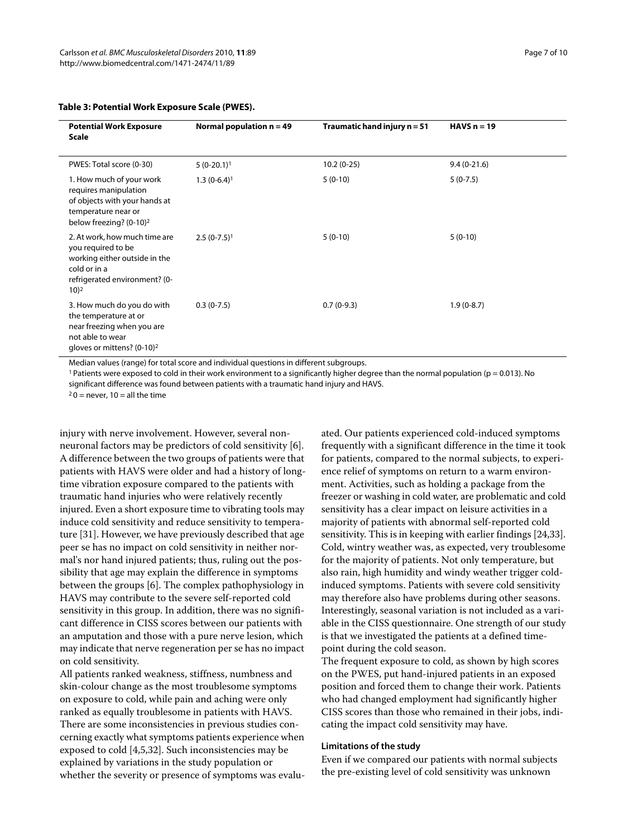| <b>Potential Work Exposure</b><br><b>Scale</b>                                                                                                   | Normal population $n = 49$ | Traumatic hand injury $n = 51$ | HAVS $n = 19$ |
|--------------------------------------------------------------------------------------------------------------------------------------------------|----------------------------|--------------------------------|---------------|
| PWES: Total score (0-30)                                                                                                                         | $5(0-20.1)^1$              | $10.2(0-25)$                   | $9.4(0-21.6)$ |
| 1. How much of your work<br>requires manipulation<br>of objects with your hands at<br>temperature near or<br>below freezing? (0-10) <sup>2</sup> | $1.3(0-6.4)^1$             | $5(0-10)$                      | $5(0-7.5)$    |
| 2. At work, how much time are<br>you required to be<br>working either outside in the<br>cold or in a<br>refrigerated environment? (0-<br>10)2    | $2.5(0-7.5)^{1}$           | $5(0-10)$                      | $5(0-10)$     |
| 3. How much do you do with<br>the temperature at or<br>near freezing when you are<br>not able to wear<br>gloves or mittens? (0-10) <sup>2</sup>  | $0.3(0-7.5)$               | $0.7(0-9.3)$                   | $1.9(0-8.7)$  |

#### <span id="page-6-0"></span>**Table 3: Potential Work Exposure Scale (PWES).**

Median values (range) for total score and individual questions in different subgroups.

<sup>1</sup> Patients were exposed to cold in their work environment to a significantly higher degree than the normal population ( $p = 0.013$ ). No significant difference was found between patients with a traumatic hand injury and HAVS.

 $20$  = never, 10 = all the time

injury with nerve involvement. However, several nonneuronal factors may be predictors of cold sensitivity [[6\]](#page-8-5). A difference between the two groups of patients were that patients with HAVS were older and had a history of longtime vibration exposure compared to the patients with traumatic hand injuries who were relatively recently injured. Even a short exposure time to vibrating tools may induce cold sensitivity and reduce sensitivity to temperature [[31](#page-8-27)]. However, we have previously described that age peer se has no impact on cold sensitivity in neither normal's nor hand injured patients; thus, ruling out the possibility that age may explain the difference in symptoms between the groups [\[6](#page-8-5)]. The complex pathophysiology in HAVS may contribute to the severe self-reported cold sensitivity in this group. In addition, there was no significant difference in CISS scores between our patients with an amputation and those with a pure nerve lesion, which may indicate that nerve regeneration per se has no impact on cold sensitivity.

All patients ranked weakness, stiffness, numbness and skin-colour change as the most troublesome symptoms on exposure to cold, while pain and aching were only ranked as equally troublesome in patients with HAVS. There are some inconsistencies in previous studies concerning exactly what symptoms patients experience when exposed to cold [[4,](#page-8-3)[5](#page-8-4)[,32\]](#page-8-28). Such inconsistencies may be explained by variations in the study population or whether the severity or presence of symptoms was evaluated. Our patients experienced cold-induced symptoms frequently with a significant difference in the time it took for patients, compared to the normal subjects, to experience relief of symptoms on return to a warm environment. Activities, such as holding a package from the freezer or washing in cold water, are problematic and cold sensitivity has a clear impact on leisure activities in a majority of patients with abnormal self-reported cold sensitivity. This is in keeping with earlier findings [\[24](#page-8-20)[,33\]](#page-8-29). Cold, wintry weather was, as expected, very troublesome for the majority of patients. Not only temperature, but also rain, high humidity and windy weather trigger coldinduced symptoms. Patients with severe cold sensitivity may therefore also have problems during other seasons. Interestingly, seasonal variation is not included as a variable in the CISS questionnaire. One strength of our study is that we investigated the patients at a defined timepoint during the cold season.

The frequent exposure to cold, as shown by high scores on the PWES, put hand-injured patients in an exposed position and forced them to change their work. Patients who had changed employment had significantly higher CISS scores than those who remained in their jobs, indicating the impact cold sensitivity may have.

#### **Limitations of the study**

Even if we compared our patients with normal subjects the pre-existing level of cold sensitivity was unknown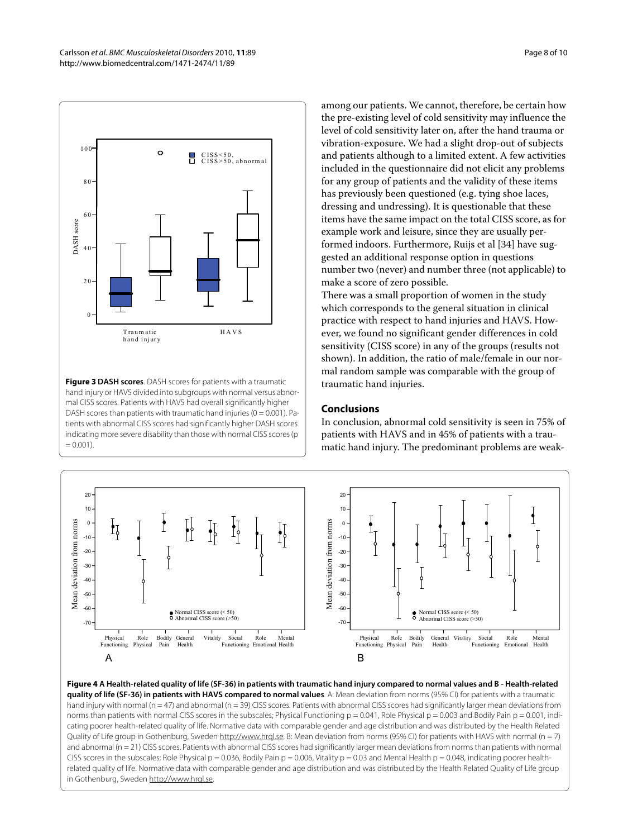<span id="page-7-0"></span>

**Figure 3 DASH scores**. DASH scores for patients with a traumatic hand injury or HAVS divided into subgroups with normal versus abnormal CISS scores. Patients with HAVS had overall significantly higher DASH scores than patients with traumatic hand injuries ( $0 = 0.001$ ). Patients with abnormal CISS scores had significantly higher DASH scores indicating more severe disability than those with normal CISS scores (p  $= 0.001$ 

among our patients. We cannot, therefore, be certain how the pre-existing level of cold sensitivity may influence the level of cold sensitivity later on, after the hand trauma or vibration-exposure. We had a slight drop-out of subjects and patients although to a limited extent. A few activities included in the questionnaire did not elicit any problems for any group of patients and the validity of these items has previously been questioned (e.g. tying shoe laces, dressing and undressing). It is questionable that these items have the same impact on the total CISS score, as for example work and leisure, since they are usually performed indoors. Furthermore, Ruijs et al [\[34\]](#page-8-30) have suggested an additional response option in questions number two (never) and number three (not applicable) to make a score of zero possible.

There was a small proportion of women in the study which corresponds to the general situation in clinical practice with respect to hand injuries and HAVS. However, we found no significant gender differences in cold sensitivity (CISS score) in any of the groups (results not shown). In addition, the ratio of male/female in our normal random sample was comparable with the group of traumatic hand injuries.

#### **Conclusions**

In conclusion, abnormal cold sensitivity is seen in 75% of patients with HAVS and in 45% of patients with a traumatic hand injury. The predominant problems are weak-

<span id="page-7-1"></span>

**Figure 4 A Health-related quality of life (SF-36) in patients with traumatic hand injury compared to normal values and B - Health-related quality of life (SF-36) in patients with HAVS compared to normal values**. A: Mean deviation from norms (95% CI) for patients with a traumatic hand injury with normal (n = 47) and abnormal (n = 39) CISS scores. Patients with abnormal CISS scores had significantly larger mean deviations from norms than patients with normal CISS scores in the subscales; Physical Functioning  $p = 0.041$ , Role Physical  $p = 0.003$  and Bodily Pain  $p = 0.001$ , indicating poorer health-related quality of life. Normative data with comparable gender and age distribution and was distributed by the Health Related Quality of Life group in Gothenburg, Sweden http://www.hrgl.se. B: Mean deviation from norms (95% CI) for patients with HAVS with normal (n = 7) and abnormal (n = 21) CISS scores. Patients with abnormal CISS scores had significantly larger mean deviations from norms than patients with normal CISS scores in the subscales; Role Physical  $p = 0.036$ , Bodily Pain  $p = 0.006$ , Vitality  $p = 0.03$  and Mental Health  $p = 0.048$ , indicating poorer healthrelated quality of life. Normative data with comparable gender and age distribution and was distributed by the Health Related Quality of Life group in Gothenburg, Sweden [http://www.hrql.se.](http://www.hrql.se)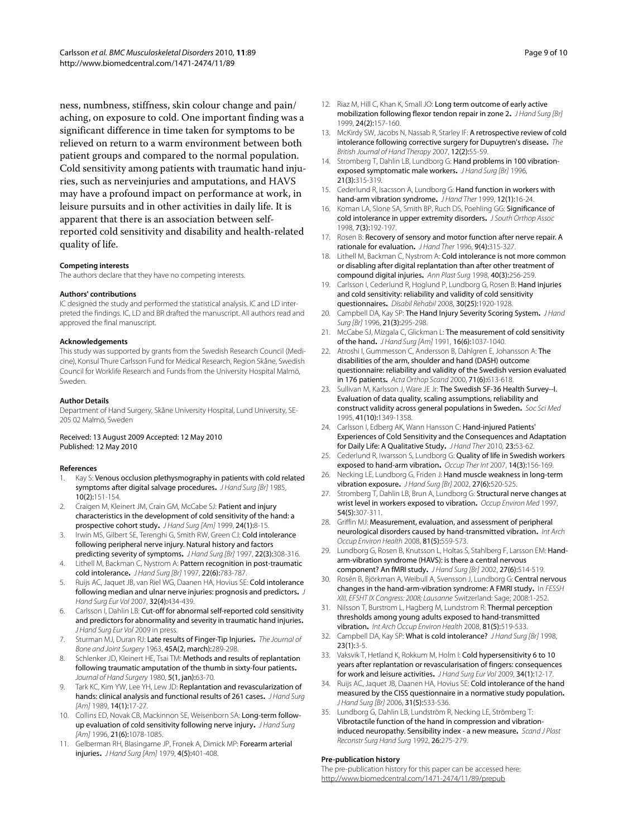ness, numbness, stiffness, skin colour change and pain/ aching, on exposure to cold. One important finding was a significant difference in time taken for symptoms to be relieved on return to a warm environment between both patient groups and compared to the normal population. Cold sensitivity among patients with traumatic hand injuries, such as nerveinjuries and amputations, and HAVS may have a profound impact on performance at work, in leisure pursuits and in other activities in daily life. It is apparent that there is an association between selfreported cold sensitivity and disability and health-related quality of life.

#### **Competing interests**

The authors declare that they have no competing interests.

#### **Authors' contributions**

IC designed the study and performed the statistical analysis. IC and LD interpreted the findings. IC, LD and BR drafted the manuscript. All authors read and approved the final manuscript.

#### **Acknowledgements**

This study was supported by grants from the Swedish Research Council (Medicine), Konsul Thure Carlsson Fund for Medical Research, Region Skåne, Swedish Council for Worklife Research and Funds from the University Hospital Malmö, Sweden.

#### **Author Details**

Department of Hand Surgery, Skåne University Hospital, Lund University, SE-205 02 Malmö, Sweden

#### Received: 13 August 2009 Accepted: 12 May 2010 Published: 12 May 2010

#### **References**

- <span id="page-8-0"></span>Kay S: Venous occlusion plethysmography in patients with cold related symptoms after digital salvage procedures**.** J Hand Surg [Br] 1985, 10(2):151-154.
- <span id="page-8-1"></span>2. Craigen M, Kleinert JM, Crain GM, McCabe SJ: Patient and injury characteristics in the development of cold sensitivity of the hand: a prospective cohort study**.** J Hand Surg [Am] 1999, 24(1):8-15.
- <span id="page-8-2"></span>3. Irwin MS, Gilbert SE, Terenghi G, Smith RW, Green CJ: Cold intolerance following peripheral nerve injury. Natural history and factors predicting severity of symptoms**.** J Hand Surg [Br] 1997, 22(3):308-316.
- <span id="page-8-3"></span>4. Lithell M, Backman C, Nystrom A: Pattern recognition in post-traumatic cold intolerance**.** J Hand Surg [Br] 1997, 22(6):783-787.
- <span id="page-8-4"></span>5. Ruijs AC, Jaquet JB, van Riel WG, Daanen HA, Hovius SE: Cold intolerance following median and ulnar nerve injuries: prognosis and predictors**.** J Hand Surg Eur Vol 2007, 32(4):434-439.
- <span id="page-8-5"></span>6. Carlsson I, Dahlin LB: Cut-off for abnormal self-reported cold sensitivity and predictors for abnormality and severity in traumatic hand injuries**.** J Hand Surg Eur Vol 2009 in press.
- <span id="page-8-6"></span>7. Sturman MJ, Duran RJ: Late results of Finger-Tip Injuries**.** The Journal of Bone and Joint Surgery 1963, 45A(2, march):289-298.
- Schlenker JD, Kleinert HE, Tsai TM: Methods and results of replantation following traumatic amputation of the thumb in sixty-four patients**[.](http://www.ncbi.nlm.nih.gov/entrez/query.fcgi?cmd=Retrieve&db=PubMed&dopt=Abstract&list_uids=7365219)** Journal of Hand Surgery 1980, 5(1, jan):63-70.
- 9. Tark KC, Kim YW, Lee YH, Lew JD: Replantation and revascularization of hands: clinical analysis and functional results of 261 cases**.** J Hand Surg [Am] 1989, 14(1):17-27.
- 10. Collins ED, Novak CB, Mackinnon SE, Weisenborn SA: Long-term followup evaluation of cold sensitivity following nerve injury**[.](http://www.ncbi.nlm.nih.gov/entrez/query.fcgi?cmd=Retrieve&db=PubMed&dopt=Abstract&list_uids=8969435)** J Hand Surg [Am] 1996, 21(6):1078-1085.
- 11. Gelberman RH, Blasingame JP, Fronek A, Dimick MP: Forearm arterial injuries**[.](http://www.ncbi.nlm.nih.gov/entrez/query.fcgi?cmd=Retrieve&db=PubMed&dopt=Abstract&list_uids=501048)** J Hand Surg [Am] 1979, 4(5):401-408.
- <span id="page-8-7"></span>12. Riaz M, Hill C, Khan K, Small JO: Long term outcome of early active mobilization following flexor tendon repair in zone 2**.** J Hand Surg [Br] 1999, 24(2):157-160.
- <span id="page-8-8"></span>13. McKirdy SW, Jacobs N, Nassab R, Starley IF: A retrospective review of cold intolerance following corrective surgery for Dupuytren's disease**.** The British Journal of Hand Therapy 2007, 12(2):55-59.
- <span id="page-8-9"></span>14. Stromberg T, Dahlin LB, Lundborg G: Hand problems in 100 vibrationexposed symptomatic male workers**.** J Hand Surg [Br] 1996, 21(3):315-319.
- <span id="page-8-10"></span>15. Cederlund R, Isacsson A, Lundborg G: Hand function in workers with hand-arm vibration syndrome. JHand Ther 1999, 12(1):16-24.
- <span id="page-8-11"></span>16. Koman LA, Slone SA, Smith BP, Ruch DS, Poehling GG: Significance of cold intolerance in upper extremity disorders**.** J South Orthop Assoc 1998, 7(3):192-197.
- <span id="page-8-12"></span>17. Rosen B: Recovery of sensory and motor function after nerve repair. A rationale for evaluation**.** J Hand Ther 1996, 9(4):315-327.
- <span id="page-8-13"></span>18. Lithell M, Backman C, Nystrom A: Cold intolerance is not more common or disabling after digital replantation than after other treatment of compound digital injuries**.** Ann Plast Surg 1998, 40(3):256-259.
- <span id="page-8-14"></span>19. Carlsson I, Cederlund R, Hoglund P, Lundborg G, Rosen B: Hand injuries and cold sensitivity: reliability and validity of cold sensitivity questionnaires**.** Disabil Rehabil 2008, 30(25):1920-1928.
- <span id="page-8-15"></span>20. Campbell DA, Kay SP: The Hand Injury Severity Scoring System**.** J Hand Surg [Br] 1996, 21(3):295-298.
- <span id="page-8-16"></span>21. McCabe SJ, Mizgala C, Glickman L: The measurement of cold sensitivity of the hand**.** J Hand Surg [Am] 1991, 16(6):1037-1040.
- <span id="page-8-17"></span>22. Atroshi I, Gummesson C, Andersson B, Dahlgren E, Johansson A: The disabilities of the arm, shoulder and hand (DASH) outcome questionnaire: reliability and validity of the Swedish version evaluated in 176 patients**.** Acta Orthop Scand 2000, 71(6):613-618.
- <span id="page-8-18"></span>23. Sullivan M, Karlsson J, Ware JE Jr: The Swedish SF-36 Health Survey--I. Evaluation of data quality, scaling assumptions, reliability and construct validity across general populations in Sweden**.** Soc Sci Med 1995, 41(10):1349-1358.
- <span id="page-8-20"></span>24. Carlsson I, Edberg AK, Wann Hansson C: Hand-injured Patients' Experiences of Cold Sensitivity and the Consequences and Adaptation for Daily Life: A Qualitative Study**[.](http://www.ncbi.nlm.nih.gov/entrez/query.fcgi?cmd=Retrieve&db=PubMed&dopt=Abstract&list_uids=19765950)** J Hand Ther 2010, 23:53-62.
- <span id="page-8-21"></span>25. Cederlund R, Iwarsson S, Lundborg G: Quality of life in Swedish workers exposed to hand-arm vibration**[.](http://www.ncbi.nlm.nih.gov/entrez/query.fcgi?cmd=Retrieve&db=PubMed&dopt=Abstract&list_uids=17624874)** Occup Ther Int 2007, 14(3):156-169.
- <span id="page-8-22"></span>26. Necking LE, Lundborg G, Friden J: Hand muscle weakness in long-term vibration exposure**.** J Hand Surg [Br] 2002, 27(6):520-525.
- <span id="page-8-23"></span>27. Stromberg T, Dahlin LB, Brun A, Lundborg G: Structural nerve changes at wrist level in workers exposed to vibration**.** Occup Environ Med 1997, 54(5):307-311.
- <span id="page-8-24"></span>28. Griffin MJ: Measurement, evaluation, and assessment of peripheral neurological disorders caused by hand-transmitted vibration**[.](http://www.ncbi.nlm.nih.gov/entrez/query.fcgi?cmd=Retrieve&db=PubMed&dopt=Abstract&list_uids=17901975)** Int Arch Occup Environ Health 2008, 81(5):559-573.
- <span id="page-8-25"></span>29. Lundborg G, Rosen B, Knutsson L, Holtas S, Stahlberg F, Larsson EM: Handarm-vibration syndrome (HAVS): is there a central nervous component? An fMRI study**.** J Hand Surg [Br] 2002, 27(6):514-519.
- <span id="page-8-26"></span>30. Rosén B, Björkman A, Weibull A, Svensson J, Lundborg G: Central nervous changes in the hand-arm-vibration syndrome: A FMRI study**.** In FESSH XIII, EFSHT IX Congress: 2008: Lausanne Switzerland: Sage: 2008:1-252.
- <span id="page-8-27"></span>31. Nilsson T, Burstrom L, Hagberg M, Lundstrom R: Thermal perception thresholds among young adults exposed to hand-transmitted vibration**.** Int Arch Occup Environ Health 2008, 81(5):519-533.
- <span id="page-8-28"></span>32.Campbell DA, Kay SP: What is cold intolerance? J Hand Surg [Br] 1998, 23(1):3-5.
- <span id="page-8-29"></span>33. Vaksvik T, Hetland K, Rokkum M, Holm I: Cold hypersensitivity 6 to 10 years after replantation or revascularisation of fingers: consequences for work and leisure activities**[.](http://www.ncbi.nlm.nih.gov/entrez/query.fcgi?cmd=Retrieve&db=PubMed&dopt=Abstract&list_uids=19091739)** J Hand Surg Eur Vol 2009, 34(1):12-17.
- <span id="page-8-30"></span>34. Ruijs AC, Jaquet JB, Daanen HA, Hovius SE: Cold intolerance of the hand measured by the CISS questionnaire in a normative study population**[.](http://www.ncbi.nlm.nih.gov/entrez/query.fcgi?cmd=Retrieve&db=PubMed&dopt=Abstract&list_uids=16808991)** J Hand Surg [Br] 2006, 31(5):533-536.
- <span id="page-8-19"></span>35. Lundborg G, Dahlin LB, Lundström R, Necking LE, Strömberg T: Vibrotactile function of the hand in compression and vibrationinduced neuropathy. Sensibility index - a new measure**.** Scand J Plast Reconstr Surg Hand Surg 1992, 26:275-279.

#### **Pre-publication history**

The pre-publication history for this paper can be accessed here: http://www.biomedcentral.com/1471-2474/11/89/prepub